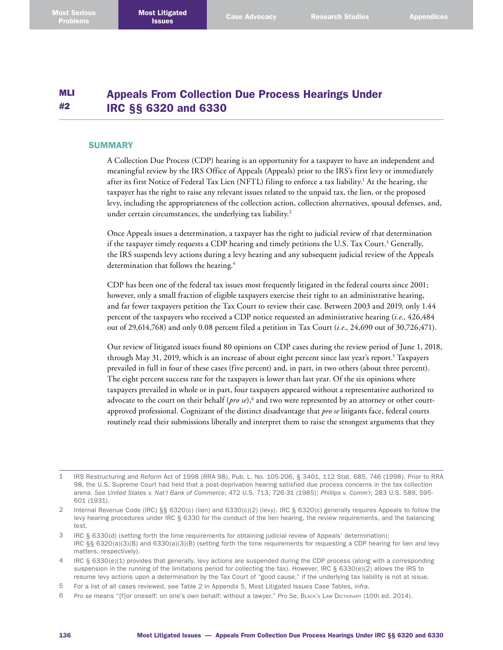#### MLI #2 Appeals From Collection Due Process Hearings Under IRC §§ 6320 and 6330

#### **SUMMARY**

A Collection Due Process (CDP) hearing is an opportunity for a taxpayer to have an independent and meaningful review by the IRS Office of Appeals (Appeals) prior to the IRS's first levy or immediately after its first Notice of Federal Tax Lien (NFTL) filing to enforce a tax liability. 1 At the hearing, the taxpayer has the right to raise any relevant issues related to the unpaid tax, the lien, or the proposed levy, including the appropriateness of the collection action, collection alternatives, spousal defenses, and, under certain circumstances, the underlying tax liability. 2

Once Appeals issues a determination, a taxpayer has the right to judicial review of that determination if the taxpayer timely requests a CDP hearing and timely petitions the U.S. Tax Court. 3 Generally, the IRS suspends levy actions during a levy hearing and any subsequent judicial review of the Appeals determination that follows the hearing. 4

CDP has been one of the federal tax issues most frequently litigated in the federal courts since 2001; however, only a small fraction of eligible taxpayers exercise their right to an administrative hearing, and far fewer taxpayers petition the Tax Court to review their case. Between 2003 and 2019, only 1.44 percent of the taxpayers who received a CDP notice requested an administrative hearing (*i.e*., 426,484 out of 29,614,768) and only 0.08 percent filed a petition in Tax Court (*i.e*., 24,690 out of 30,726,471).

Our review of litigated issues found 80 opinions on CDP cases during the review period of June 1, 2018, through May 31, 2019, which is an increase of about eight percent since last year's report.<sup>5</sup> Taxpayers prevailed in full in four of these cases (five percent) and, in part, in two others (about three percent). The eight percent success rate for the taxpayers is lower than last year. Of the six opinions where taxpayers prevailed in whole or in part, four taxpayers appeared without a representative authorized to advocate to the court on their behalf (*pro se*),<sup>6</sup> and two were represented by an attorney or other courtapproved professional. Cognizant of the distinct disadvantage that *pro se* litigants face, federal courts routinely read their submissions liberally and interpret them to raise the strongest arguments that they

<sup>1</sup> IRS Restructuring and Reform Act of 1998 (RRA 98), Pub. L. No. 105-206, § 3401, 112 Stat. 685, 746 (1998). Prior to RRA 98, the U.S. Supreme Court had held that a post-deprivation hearing satisfied due process concerns in the tax collection arena. *See United States v. Nat'l Bank of Commerce*, 472 U.S. 713, 726-31 (1985); *Phillips v. Comm'r*, 283 U.S. 589, 595- 601 (1931).

<sup>2</sup> Internal Revenue Code (IRC) §§ 6320(c) (lien) and 6330(c)(2) (levy). IRC § 6320(c) generally requires Appeals to follow the levy hearing procedures under IRC § 6330 for the conduct of the lien hearing, the review requirements, and the balancing test.

<sup>3</sup> IRC § 6330(d) (setting forth the time requirements for obtaining judicial review of Appeals' determination); IRC §§ 6320(a)(3)(B) and 6330(a)(3)(B) (setting forth the time requirements for requesting a CDP hearing for lien and levy matters, respectively).

<sup>4</sup> IRC § 6330(e)(1) provides that generally, levy actions are suspended during the CDP process (along with a corresponding suspension in the running of the limitations period for collecting the tax). However, IRC  $\S$  6330(e)(2) allows the IRS to resume levy actions upon a determination by the Tax Court of "good cause," if the underlying tax liability is not at issue.

<sup>5</sup> For a list of all cases reviewed, see Table 2 in Appendix 5, Most Litigated Issues Case Tables, *infra*.

<sup>6</sup> *Pro se* means "[f]or oneself; on one's own behalf; without a lawyer." *Pro Se*, Black's Law Dictionary (10th ed. 2014).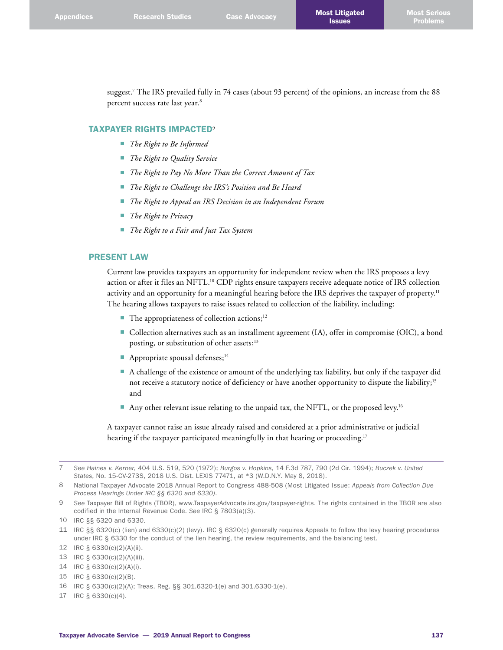suggest. 7 The IRS prevailed fully in 74 cases (about 93 percent) of the opinions, an increase from the 88 percent success rate last year. 8

## TAXPAYER RIGHTS IMPACTED<sup>9</sup>

- *The Right to Be Informed*
- *The Right to Quality Service*
- *The Right to Pay No More Than the Correct Amount of Tax*
- *The Right to Challenge the IRS's Position and Be Heard*
- *The Right to Appeal an IRS Decision in an Independent Forum*
- *The Right to Privacy*
- *The Right to a Fair and Just Tax System*

# PRESENT LAW

Current law provides taxpayers an opportunity for independent review when the IRS proposes a levy action or after it files an NFTL. 10 CDP rights ensure taxpayers receive adequate notice of IRS collection activity and an opportunity for a meaningful hearing before the IRS deprives the taxpayer of property. 11 The hearing allows taxpayers to raise issues related to collection of the liability, including:

- The appropriateness of collection actions;<sup>12</sup>
- Collection alternatives such as an installment agreement (IA), offer in compromise (OIC), a bond posting, or substitution of other assets;<sup>13</sup>
- Appropriate spousal defenses;<sup>14</sup>
- A challenge of the existence or amount of the underlying tax liability, but only if the taxpayer did not receive a statutory notice of deficiency or have another opportunity to dispute the liability;<sup>15</sup> and
- $\blacksquare$  Any other relevant issue relating to the unpaid tax, the NFTL, or the proposed levy.<sup>16</sup>

A taxpayer cannot raise an issue already raised and considered at a prior administrative or judicial hearing if the taxpayer participated meaningfully in that hearing or proceeding. 17

17 IRC § 6330(c)(4).

<sup>7</sup> *See Haines v. Kerner*, 404 U.S. 519, 520 (1972); *Burgos v. Hopkins*, 14 F.3d 787, 790 (2d Cir. 1994); *Buczek v. United States*, No. 15-CV-273S, 2018 U.S. Dist. LEXIS 77471, at \*3 (W.D.N.Y. May 8, 2018).

<sup>8</sup> National Taxpayer Advocate 2018 Annual Report to Congress 488-508 (Most Litigated Issue: *Appeals from Collection Due Process Hearings Under IRC §§ 6320 and 6330)*.

<sup>9</sup> *See* Taxpayer Bill of Rights (TBOR), [www.TaxpayerAdvocate.irs.gov/taxpayer-rights](http://www.TaxpayerAdvocate.irs.gov/taxpayer-rights). The rights contained in the TBOR are also codified in the Internal Revenue Code. *See* IRC § 7803(a)(3).

<sup>10</sup> IRC §§ 6320 and 6330.

<sup>11</sup> IRC §§ 6320(c) (lien) and 6330(c)(2) (levy). IRC § 6320(c) generally requires Appeals to follow the levy hearing procedures under IRC § 6330 for the conduct of the lien hearing, the review requirements, and the balancing test.

<sup>12</sup> IRC § 6330(c)(2)(A)(ii).

<sup>13</sup> IRC § 6330(c)(2)(A)(iii).

<sup>14</sup> IRC § 6330(c)(2)(A)(i).

<sup>15</sup> IRC § 6330(c)(2)(B).

<sup>16</sup> IRC § 6330(c)(2)(A); Treas. Reg. §§ 301.6320-1(e) and 301.6330-1(e).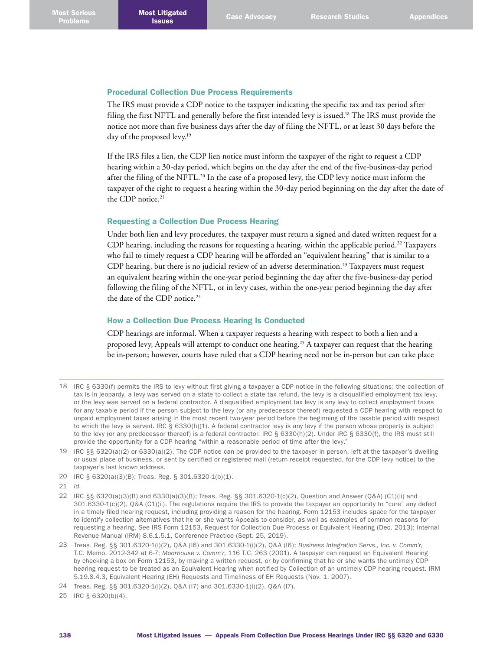### Procedural Collection Due Process Requirements

The IRS must provide a CDP notice to the taxpayer indicating the specific tax and tax period after filing the first NFTL and generally before the first intended levy is issued. 18 The IRS must provide the notice not more than five business days after the day of filing the NFTL, or at least 30 days before the day of the proposed levy. 19

If the IRS files a lien, the CDP lien notice must inform the taxpayer of the right to request a CDP hearing within a 30-day period, which begins on the day after the end of the five-business-day period after the filing of the NFTL.<sup>20</sup> In the case of a proposed levy, the CDP levy notice must inform the taxpayer of the right to request a hearing within the 30-day period beginning on the day after the date of the CDP notice. 21

# Requesting a Collection Due Process Hearing

Under both lien and levy procedures, the taxpayer must return a signed and dated written request for a CDP hearing, including the reasons for requesting a hearing, within the applicable period. 22 Taxpayers who fail to timely request a CDP hearing will be afforded an "equivalent hearing" that is similar to a CDP hearing, but there is no judicial review of an adverse determination. 23 Taxpayers must request an equivalent hearing within the one-year period beginning the day after the five-business-day period following the filing of the NFTL, or in levy cases, within the one-year period beginning the day after the date of the CDP notice. 24

# How a Collection Due Process Hearing Is Conducted

CDP hearings are informal. When a taxpayer requests a hearing with respect to both a lien and a proposed levy, Appeals will attempt to conduct one hearing. 25 A taxpayer can request that the hearing be in-person; however, courts have ruled that a CDP hearing need not be in-person but can take place

- 18 IRC § 6330(f) permits the IRS to levy without first giving a taxpayer a CDP notice in the following situations: the collection of tax is in jeopardy, a levy was served on a state to collect a state tax refund, the levy is a disqualified employment tax levy, or the levy was served on a federal contractor. A disqualified employment tax levy is any levy to collect employment taxes for any taxable period if the person subject to the levy (or any predecessor thereof) requested a CDP hearing with respect to unpaid employment taxes arising in the most recent two-year period before the beginning of the taxable period with respect to which the levy is served. IRC  $\S$  6330(h)(1). A federal contractor levy is any levy if the person whose property is subject to the levy (or any predecessor thereof) is a federal contractor. IRC § 6330(h)(2). Under IRC § 6330(f), the IRS must still provide the opportunity for a CDP hearing "within a reasonable period of time after the levy."
- 19 IRC §§ 6320(a)(2) or 6330(a)(2). The CDP notice can be provided to the taxpayer in person, left at the taxpayer's dwelling or usual place of business, or sent by certified or registered mail (return receipt requested, for the CDP levy notice) to the taxpayer's last known address.
- 20 IRC § 6320(a)(3)(B); Treas. Reg. § 301.6320-1(b)(1).
- 21 *Id*.
- 22 IRC §§ 6320(a)(3)(B) and 6330(a)(3)(B); Treas. Reg. §§ 301.6320-1(c)(2), Question and Answer (Q&A) (C1)(ii) and 301.6330-1(c)(2), Q&A (C1)(ii). The regulations require the IRS to provide the taxpayer an opportunity to "cure" any defect in a timely filed hearing request, including providing a reason for the hearing. Form 12153 includes space for the taxpayer to identify collection alternatives that he or she wants Appeals to consider, as well as examples of common reasons for requesting a hearing. *See* IRS Form 12153, Request for Collection Due Process or Equivalent Hearing (Dec. 2013); Internal Revenue Manual (IRM) 8.6.1.5.1, Conference Practice (Sept. 25, 2019).
- 23 Treas. Reg. §§ 301.6320-1(i)(2), Q&A (I6) and 301.6330-1(i)(2), Q&A (I6); *Business Integration Servs., Inc. v. Comm'r*, T.C. Memo. 2012-342 at 6-7; *Moorhouse v. Comm'r*, 116 T.C. 263 (2001). A taxpayer can request an Equivalent Hearing by checking a box on Form 12153, by making a written request, or by confirming that he or she wants the untimely CDP hearing request to be treated as an Equivalent Hearing when notified by Collection of an untimely CDP hearing request. IRM 5.19.8.4.3, Equivalent Hearing (EH) Requests and Timeliness of EH Requests (Nov. 1, 2007).

25 IRC § 6320(b)(4).

<sup>24</sup> Treas. Reg. §§ 301.6320-1(i)(2), Q&A (I7) and 301.6330-1(i)(2), Q&A (I7).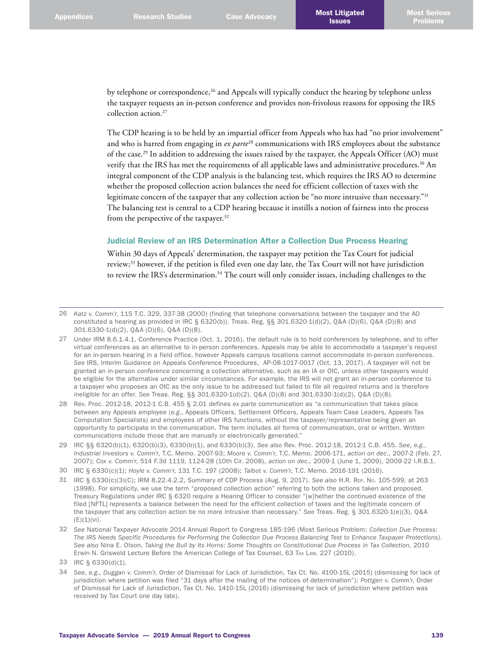by telephone or correspondence,<sup>26</sup> and Appeals will typically conduct the hearing by telephone unless the taxpayer requests an in-person conference and provides non-frivolous reasons for opposing the IRS collection action. 27

The CDP hearing is to be held by an impartial officer from Appeals who has had "no prior involvement" and who is barred from engaging in *ex parte*28 communications with IRS employees about the substance of the case.<sup>29</sup> In addition to addressing the issues raised by the taxpayer, the Appeals Officer (AO) must verify that the IRS has met the requirements of all applicable laws and administrative procedures. 30 An integral component of the CDP analysis is the balancing test, which requires the IRS AO to determine whether the proposed collection action balances the need for efficient collection of taxes with the legitimate concern of the taxpayer that any collection action be "no more intrusive than necessary."<sup>31</sup> The balancing test is central to a CDP hearing because it instills a notion of fairness into the process from the perspective of the taxpayer.<sup>32</sup>

#### Judicial Review of an IRS Determination After a Collection Due Process Hearing

Within 30 days of Appeals' determination, the taxpayer may petition the Tax Court for judicial review;33 however, if the petition is filed even one day late, the Tax Court will not have jurisdiction to review the IRS's determination.<sup>34</sup> The court will only consider issues, including challenges to the

34 *See*, *e.g*., *Duggan v. Comm'r*, Order of Dismissal for Lack of Jurisdiction, Tax Ct. No. 4100-15L (2015) (dismissing for lack of jurisdiction where petition was filed "31 days after the mailing of the notices of determination"); *Pottgen v. Comm'r*, Order of Dismissal for Lack of Jurisdiction, Tax Ct. No. 1410-15L (2016) (dismissing for lack of jurisdiction where petition was received by Tax Court one day late).

<sup>26</sup> *Katz v. Comm'r*, 115 T.C. 329, 337-38 (2000) (finding that telephone conversations between the taxpayer and the AO constituted a hearing as provided in IRC § 6320(b)). Treas. Reg. §§ 301.6320-1(d)(2), Q&A (D)(6), Q&A (D)(8) and 301.6330-1(d)(2), Q&A (D)(6), Q&A (D)(8).

<sup>27</sup> Under IRM 8.6.1.4.1, Conference Practice (Oct. 1, 2016), the default rule is to hold conferences by telephone, and to offer virtual conferences as an alternative to in-person conferences. Appeals may be able to accommodate a taxpayer's request for an in-person hearing in a field office, however Appeals campus locations cannot accommodate in-person conferences. *See* IRS, Interim Guidance on Appeals Conference Procedures, AP-08-1017-0017 (Oct. 13, 2017). A taxpayer will not be granted an in-person conference concerning a collection alternative, such as an IA or OIC, unless other taxpayers would be eligible for the alternative under similar circumstances. For example, the IRS will not grant an in-person conference to a taxpayer who proposes an OIC as the only issue to be addressed but failed to file all required returns and is therefore ineligible for an offer. *See* Treas. Reg. §§ 301.6320-1(d)(2), Q&A (D)(8) and 301.6330-1(d)(2), Q&A (D)(8).

<sup>28</sup> Rev. Proc. 2012-18, 2012-1 C.B. 455 § 2.01 defines *ex parte* communication as "a communication that takes place between any Appeals employee (*e.g*., Appeals Officers, Settlement Officers, Appeals Team Case Leaders, Appeals Tax Computation Specialists) and employees of other IRS functions, without the taxpayer/representative being given an opportunity to participate in the communication. The term includes all forms of communication, oral or written. Written communications include those that are manually or electronically generated."

<sup>29</sup> IRC §§ 6320(b)(1), 6320(b)(3), 6330(b)(1), and 6330(b)(3). *See also* Rev. Proc. 2012-18, 2012-1 C.B. 455. *See*, *e.g*., *Industrial Investors v. Comm'r*, T.C. Memo. 2007-93; *Moore v. Comm'r*, T.C. Memo. 2006-171, *action on dec*., 2007-2 (Feb. 27, 2007); *Cox v. Comm'r*, 514 F.3d 1119, 1124-28 (10th Cir. 2008), *action on dec*., 2009-1 (June 1, 2009), 2009-22 I.R.B.1.

<sup>30</sup> IRC § 6330(c)(1); *Hoyle v. Comm'r*, 131 T.C. 197 (2008); *Talbot v. Comm'r*, T.C. Memo. 2016-191 (2016).

<sup>31</sup> IRC § 6330(c)(3)(C); IRM 8.22.4.2.2, Summary of CDP Process (Aug. 9, 2017). *See also* H.R. Rep. No. 105-599, at 263 (1998). For simplicity, we use the term "proposed collection action" referring to both the actions taken and proposed. Treasury Regulations under IRC § 6320 require a Hearing Officer to consider "[w]hether the continued existence of the filed [NFTL] represents a balance between the need for the efficient collection of taxes and the legitimate concern of the taxpayer that any collection action be no more intrusive than necessary." *See* Treas. Reg. § 301.6320-1(e)(3), Q&A  $(E)(1)(vi)$ .

<sup>32</sup> *See* National Taxpayer Advocate 2014 Annual Report to Congress 185-196 (Most Serious Problem: *Collection Due Process: The IRS Needs Specific Procedures for Performing the Collection Due Process Balancing Test to Enhance Taxpayer Protections*). *See also* Nina E. Olson, *Taking the Bull by Its Horns: Some Thoughts on Constitutional Due Process in Tax Collection*, 2010 Erwin N. Griswold Lecture Before the American College of Tax Counsel, 63 Tax Law. 227 (2010).

<sup>33</sup> IRC § 6330(d)(1).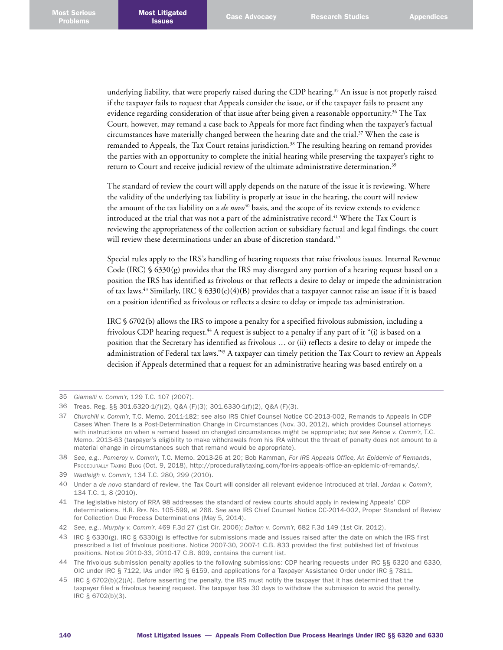underlying liability, that were properly raised during the CDP hearing. 35 An issue is not properly raised if the taxpayer fails to request that Appeals consider the issue, or if the taxpayer fails to present any evidence regarding consideration of that issue after being given a reasonable opportunity. 36 The Tax Court, however, may remand a case back to Appeals for more fact finding when the taxpayer's factual circumstances have materially changed between the hearing date and the trial. 37 When the case is remanded to Appeals, the Tax Court retains jurisdiction. 38 The resulting hearing on remand provides the parties with an opportunity to complete the initial hearing while preserving the taxpayer's right to return to Court and receive judicial review of the ultimate administrative determination. 39

The standard of review the court will apply depends on the nature of the issue it is reviewing. Where the validity of the underlying tax liability is properly at issue in the hearing, the court will review the amount of the tax liability on a *de novo*<sup>40</sup> basis, and the scope of its review extends to evidence introduced at the trial that was not a part of the administrative record. 41 Where the Tax Court is reviewing the appropriateness of the collection action or subsidiary factual and legal findings, the court will review these determinations under an abuse of discretion standard. 42

Special rules apply to the IRS's handling of hearing requests that raise frivolous issues. Internal Revenue Code (IRC) § 6330(g) provides that the IRS may disregard any portion of a hearing request based on a position the IRS has identified as frivolous or that reflects a desire to delay or impede the administration of tax laws. 43 Similarly, IRC § 6330(c)(4)(B) provides that a taxpayer cannot raise an issue if it is based on a position identified as frivolous or reflects a desire to delay or impede tax administration.

IRC § 6702(b) allows the IRS to impose a penalty for a specified frivolous submission, including a frivolous CDP hearing request. 44 A request is subject to a penalty if any part of it "(i) is based on a position that the Secretary has identified as frivolous … or (ii) reflects a desire to delay or impede the administration of Federal tax laws." 45 A taxpayer can timely petition the Tax Court to review an Appeals decision if Appeals determined that a request for an administrative hearing was based entirely on a

<sup>35</sup> *Giamelli v. Comm'r*, 129 T.C. 107 (2007).

<sup>36</sup> Treas. Reg. §§ 301.6320-1(f)(2), Q&A (F)(3); 301.6330-1(f)(2), Q&A (F)(3).

<sup>37</sup> *Churchill v. Comm'r*, T.C. Memo. 2011-182; see also IRS Chief Counsel Notice CC-2013-002, Remands to Appeals in CDP Cases When There Is a Post-Determination Change in Circumstances (Nov. 30, 2012), which provides Counsel attorneys with instructions on when a remand based on changed circumstances might be appropriate; *but see Kehoe v. Comm'r*, T.C. Memo. 2013-63 (taxpayer's eligibility to make withdrawals from his IRA without the threat of penalty does not amount to a material change in circumstances such that remand would be appropriate).

<sup>38</sup> *See*, *e.g*., *Pomeroy v. Comm'r*, T.C. Memo. 2013-26 at 20; Bob Kamman, *For IRS Appeals Office, An Epidemic of Remands*, Procedurally Taxing Blog (Oct. 9, 2018), [http://procedurallytaxing.com/for-irs-appeals-office-an-epidemic-of-remands/.](http://procedurallytaxing.com/for-irs-appeals-office-an-epidemic-of-remands/)

<sup>39</sup> *Wadleigh v. Comm'r*, 134 T.C. 280, 299 (2010).

<sup>40</sup> Under a *de novo* standard of review, the Tax Court will consider all relevant evidence introduced at trial. *Jordan v. Comm'r*, 134 T.C. 1, 8 (2010).

<sup>41</sup> The legislative history of RRA 98 addresses the standard of review courts should apply in reviewing Appeals' CDP determinations. H.R. Rep. No. 105-599, at 266. *See also* IRS Chief Counsel Notice CC-2014-002, Proper Standard of Review for Collection Due Process Determinations (May 5, 2014).

<sup>42</sup> *See*, *e.g*., *Murphy v. Comm'r*, 469 F.3d 27 (1st Cir. 2006); *Dalton v. Comm'r*, 682 F.3d 149 (1st Cir. 2012).

<sup>43</sup> IRC § 6330(g). IRC § 6330(g) is effective for submissions made and issues raised after the date on which the IRS first prescribed a list of frivolous positions. Notice 2007-30, 2007-1 C.B. 833 provided the first published list of frivolous positions. Notice 2010-33, 2010-17 C.B. 609, contains the current list.

<sup>44</sup> The frivolous submission penalty applies to the following submissions: CDP hearing requests under IRC §§ 6320 and 6330, OIC under IRC § 7122, IAs under IRC § 6159, and applications for a Taxpayer Assistance Order under IRC § 7811.

<sup>45</sup> IRC § 6702(b)(2)(A). Before asserting the penalty, the IRS must notify the taxpayer that it has determined that the taxpayer filed a frivolous hearing request. The taxpayer has 30 days to withdraw the submission to avoid the penalty. IRC § 6702(b)(3).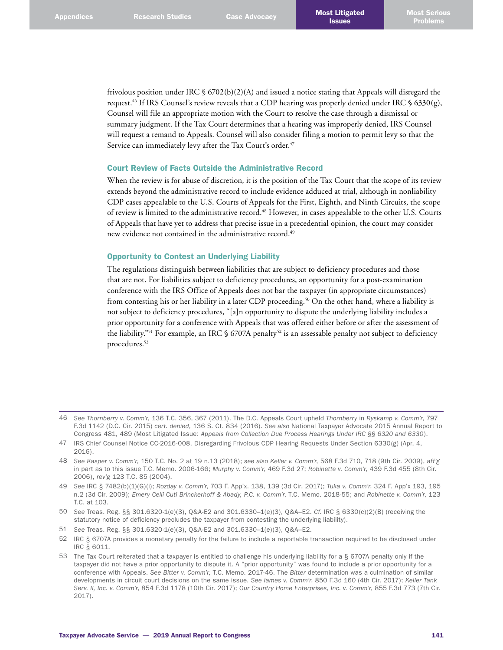frivolous position under IRC § 6702(b)(2)(A) and issued a notice stating that Appeals will disregard the request. 46 If IRS Counsel's review reveals that a CDP hearing was properly denied under IRC § 6330(g), Counsel will file an appropriate motion with the Court to resolve the case through a dismissal or summary judgment. If the Tax Court determines that a hearing was improperly denied, IRS Counsel will request a remand to Appeals. Counsel will also consider filing a motion to permit levy so that the Service can immediately levy after the Tax Court's order. 47

## Court Review of Facts Outside the Administrative Record

When the review is for abuse of discretion, it is the position of the Tax Court that the scope of its review extends beyond the administrative record to include evidence adduced at trial, although in nonliability CDP cases appealable to the U.S. Courts of Appeals for the First, Eighth, and Ninth Circuits, the scope of review is limited to the administrative record. 48 However, in cases appealable to the other U.S. Courts of Appeals that have yet to address that precise issue in a precedential opinion, the court may consider new evidence not contained in the administrative record. 49

# Opportunity to Contest an Underlying Liability

The regulations distinguish between liabilities that are subject to deficiency procedures and those that are not. For liabilities subject to deficiency procedures, an opportunity for a post-examination conference with the IRS Office of Appeals does not bar the taxpayer (in appropriate circumstances) from contesting his or her liability in a later CDP proceeding. 50 On the other hand, where a liability is not subject to deficiency procedures, "[a]n opportunity to dispute the underlying liability includes a prior opportunity for a conference with Appeals that was offered either before or after the assessment of the liability."<sup>51</sup> For example, an IRC § 6707A penalty<sup>52</sup> is an assessable penalty not subject to deficiency procedures. 53

<sup>46</sup> *See Thornberry v. Comm'r*, 136 T.C. 356, 367 (2011). The D.C. Appeals Court upheld *Thornberry* in *Ryskamp v. Comm'r*, 797 F.3d 1142 (D.C. Cir. 2015) *cert. denied*, 136 S. Ct. 834 (2016). *See also* National Taxpayer Advocate 2015 Annual Report to Congress 481, 489 (Most Litigated Issue: *Appeals from Collection Due Process Hearings Under IRC §§ 6320 and 6330*).

<sup>47</sup> IRS Chief Counsel Notice CC-2016-008, Disregarding Frivolous CDP Hearing Requests Under Section 6330(g) (Apr. 4, 2016).

<sup>48</sup> *See Kasper v. Comm'r*, 150 T.C. No. 2 at 19 n.13 (2018); *see also Keller v. Comm'r*, 568 F.3d 710, 718 (9th Cir. 2009), *aff'g* in part as to this issue T.C. Memo. 2006-166; *Murphy v. Comm'r*, 469 F.3d 27; *Robinette v. Comm'r*, 439 F.3d 455 (8th Cir. 2006), *rev'g* 123 T.C. 85 (2004).

<sup>49</sup> *See* IRC § 7482(b)(1)(G)(i); *Rozday v. Comm'r*, 703 F. App'x. 138, 139 (3d Cir. 2017); *Tuka v. Comm'r*, 324 F. App'x 193, 195 n.2 (3d Cir. 2009); *Emery Celli Cuti Brinckerhoff & Abady, P.C. v. Comm'r*, T.C. Memo. 2018-55; and *Robinette v. Comm'r*, 123 T.C. at 103.

<sup>50</sup> *See* Treas. Reg. §§ 301.6320-1(e)(3), Q&A-E2 and 301.6330–1(e)(3), Q&A–E2. *Cf*. IRC § 6330(c)(2)(B) (receiving the statutory notice of deficiency precludes the taxpayer from contesting the underlying liability).

<sup>51</sup> *See* Treas. Reg. §§ 301.6320-1(e)(3), Q&A-E2 and 301.6330–1(e)(3), Q&A–E2.

<sup>52</sup> IRC § 6707A provides a monetary penalty for the failure to include a reportable transaction required to be disclosed under IRC § 6011.

<sup>53</sup> The Tax Court reiterated that a taxpayer is entitled to challenge his underlying liability for a § 6707A penalty only if the taxpayer did not have a prior opportunity to dispute it. A "prior opportunity" was found to include a prior opportunity for a conference with Appeals. *See Bitter v. Comm'r*, T.C. Memo. 2017-46. The *Bitter* determination was a culmination of similar developments in circuit court decisions on the same issue. *See Iames v. Comm'r*, 850 F.3d 160 (4th Cir. 2017); *Keller Tank Serv. II, Inc. v. Comm'r*, 854 F.3d 1178 (10th Cir. 2017); *Our Country Home Enterprises, Inc. v. Comm'r*, 855 F.3d 773 (7th Cir. 2017).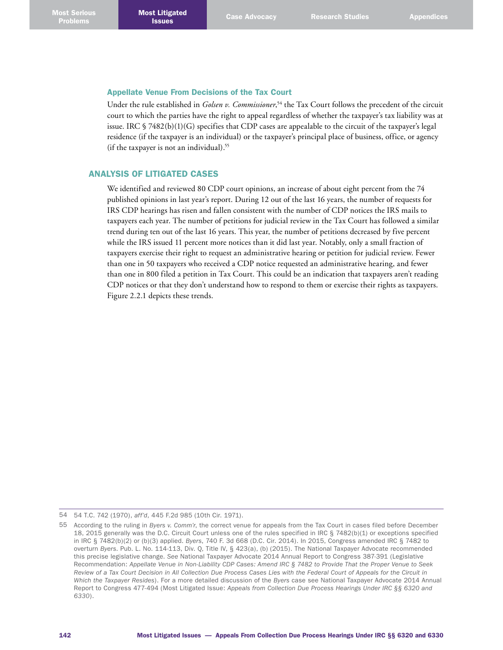# Appellate Venue From Decisions of the Tax Court

Under the rule established in *Golsen v. Commissioner*, 54 the Tax Court follows the precedent of the circuit court to which the parties have the right to appeal regardless of whether the taxpayer's tax liability was at issue. IRC  $\sqrt{7482(b)(1)(G)}$  specifies that CDP cases are appealable to the circuit of the taxpayer's legal residence (if the taxpayer is an individual) or the taxpayer's principal place of business, office, or agency (if the taxpayer is not an individual). 55

# ANALYSIS OF LITIGATED CASES

We identified and reviewed 80 CDP court opinions, an increase of about eight percent from the 74 published opinions in last year's report. During 12 out of the last 16 years, the number of requests for IRS CDP hearings has risen and fallen consistent with the number of CDP notices the IRS mails to taxpayers each year. The number of petitions for judicial review in the Tax Court has followed a similar trend during ten out of the last 16 years. This year, the number of petitions decreased by five percent while the IRS issued 11 percent more notices than it did last year. Notably, only a small fraction of taxpayers exercise their right to request an administrative hearing or petition for judicial review. Fewer than one in 50 taxpayers who received a CDP notice requested an administrative hearing, and fewer than one in 800 filed a petition in Tax Court. This could be an indication that taxpayers aren't reading CDP notices or that they don't understand how to respond to them or exercise their rights as taxpayers. Figure 2.2.1 depicts these trends.

<sup>54</sup> 54 T.C. 742 (1970), *aff'd*, 445 F.2d 985 (10th Cir. 1971).

<sup>55</sup> According to the ruling in *Byers v. Comm'r*, the correct venue for appeals from the Tax Court in cases filed before December 18, 2015 generally was the D.C. Circuit Court unless one of the rules specified in IRC § 7482(b)(1) or exceptions specified in IRC § 7482(b)(2) or (b)(3) applied. *Byers*, 740 F. 3d 668 (D.C. Cir. 2014). In 2015, Congress amended IRC § 7482 to overturn *Byers*. Pub. L. No. 114-113, Div. Q, Title IV, § 423(a), (b) (2015). The National Taxpayer Advocate recommended this precise legislative change. *See* National Taxpayer Advocate 2014 Annual Report to Congress 387-391 (Legislative Recommendation: *Appellate Venue in Non-Liability CDP Cases: Amend IRC § 7482 to Provide That the Proper Venue to Seek Review of a Tax Court Decision in All Collection Due Process Cases Lies with the Federal Court of Appeals for the Circuit in Which the Taxpayer Resides*). For a more detailed discussion of the *Byers* case see National Taxpayer Advocate 2014 Annual Report to Congress 477-494 (Most Litigated Issue: *Appeals from Collection Due Process Hearings Under IRC §§ 6320 and 6330*).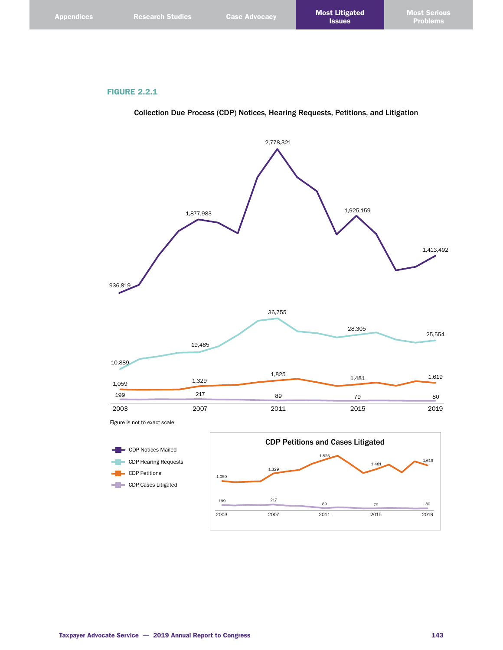# FIGURE 2.2.1

Collection Due Process (CDP) Notices, Hearing Requests, Petitions, and Litigation

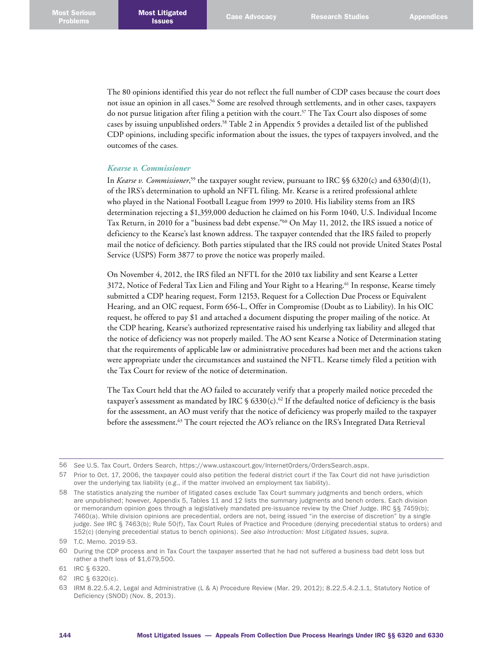The 80 opinions identified this year do not reflect the full number of CDP cases because the court does not issue an opinion in all cases. 56 Some are resolved through settlements, and in other cases, taxpayers do not pursue litigation after filing a petition with the court. $57$  The Tax Court also disposes of some cases by issuing unpublished orders. 58 Table 2 in Appendix 5 provides a detailed list of the published CDP opinions, including specific information about the issues, the types of taxpayers involved, and the outcomes of the cases.

#### *Kearse v. Commissioner*

In *Kearse v. Commissioner*, 59 the taxpayer sought review, pursuant to IRC §§ 6320(c) and 6330(d)(1), of the IRS's determination to uphold an NFTL filing. Mr. Kearse is a retired professional athlete who played in the National Football League from 1999 to 2010. His liability stems from an IRS determination rejecting a \$1,359,000 deduction he claimed on his Form 1040, U.S. Individual Income Tax Return, in 2010 for a "business bad debt expense."60 On May 11, 2012, the IRS issued a notice of deficiency to the Kearse's last known address. The taxpayer contended that the IRS failed to properly mail the notice of deficiency. Both parties stipulated that the IRS could not provide United States Postal Service (USPS) Form 3877 to prove the notice was properly mailed.

On November 4, 2012, the IRS filed an NFTL for the 2010 tax liability and sent Kearse a Letter 3172, Notice of Federal Tax Lien and Filing and Your Right to a Hearing. 61 In response, Kearse timely submitted a CDP hearing request, Form 12153, Request for a Collection Due Process or Equivalent Hearing, and an OIC request, Form 656-L, Offer in Compromise (Doubt as to Liability). In his OIC request, he offered to pay \$1 and attached a document disputing the proper mailing of the notice. At the CDP hearing, Kearse's authorized representative raised his underlying tax liability and alleged that the notice of deficiency was not properly mailed. The AO sent Kearse a Notice of Determination stating that the requirements of applicable law or administrative procedures had been met and the actions taken were appropriate under the circumstances and sustained the NFTL. Kearse timely filed a petition with the Tax Court for review of the notice of determination.

The Tax Court held that the AO failed to accurately verify that a properly mailed notice preceded the taxpayer's assessment as mandated by IRC  $\frac{1}{5}$  6330(c).<sup>62</sup> If the defaulted notice of deficiency is the basis for the assessment, an AO must verify that the notice of deficiency was properly mailed to the taxpayer before the assessment. 63 The court rejected the AO's reliance on the IRS's Integrated Data Retrieval

<sup>56</sup> *See* U.S. Tax Court, Orders Search, <https://www.ustaxcourt.gov/InternetOrders/OrdersSearch.aspx>.

<sup>57</sup> Prior to Oct. 17, 2006, the taxpayer could also petition the federal district court if the Tax Court did not have jurisdiction over the underlying tax liability (*e.g*., if the matter involved an employment tax liability).

<sup>58</sup> The statistics analyzing the number of litigated cases exclude Tax Court summary judgments and bench orders, which are unpublished; however, Appendix 5, Tables 11 and 12 lists the summary judgments and bench orders. Each division or memorandum opinion goes through a legislatively mandated pre-issuance review by the Chief Judge. IRC §§ 7459(b); 7460(a). While division opinions are precedential, orders are not, being issued "in the exercise of discretion" by a single judge. *See* IRC § 7463(b); Rule 50(f), Tax Court Rules of Practice and Procedure (denying precedential status to orders) and 152(c) (denying precedential status to bench opinions). *See also Introduction: Most Litigated Issues*, *supra*.

<sup>59</sup> T.C. Memo. 2019-53.

<sup>60</sup> During the CDP process and in Tax Court the taxpayer asserted that he had not suffered a business bad debt loss but rather a theft loss of \$1,679,500.

<sup>61</sup> IRC § 6320.

<sup>62</sup> IRC § 6320(c).

<sup>63</sup> IRM 8.22.5.4.2, Legal and Administrative (L & A) Procedure Review (Mar. 29, 2012); 8.22.5.4.2.1.1, Statutory Notice of Deficiency (SNOD) (Nov. 8, 2013).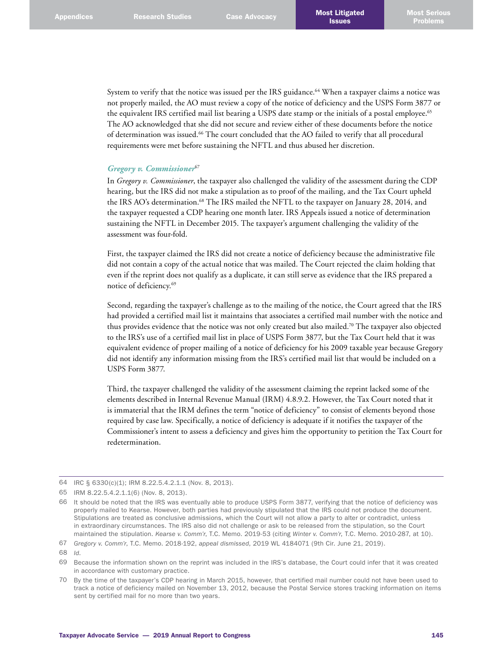System to verify that the notice was issued per the IRS guidance. 64 When a taxpayer claims a notice was not properly mailed, the AO must review a copy of the notice of deficiency and the USPS Form 3877 or the equivalent IRS certified mail list bearing a USPS date stamp or the initials of a postal employee. 65 The AO acknowledged that she did not secure and review either of these documents before the notice of determination was issued. 66 The court concluded that the AO failed to verify that all procedural requirements were met before sustaining the NFTL and thus abused her discretion.

#### *Gregory v. Commissioner*<sup>67</sup>

In *Gregory v. Commissioner*, the taxpayer also challenged the validity of the assessment during the CDP hearing, but the IRS did not make a stipulation as to proof of the mailing, and the Tax Court upheld the IRS AO's determination.<sup>68</sup> The IRS mailed the NFTL to the taxpayer on January 28, 2014, and the taxpayer requested a CDP hearing one month later. IRS Appeals issued a notice of determination sustaining the NFTL in December 2015. The taxpayer's argument challenging the validity of the assessment was four-fold.

First, the taxpayer claimed the IRS did not create a notice of deficiency because the administrative file did not contain a copy of the actual notice that was mailed. The Court rejected the claim holding that even if the reprint does not qualify as a duplicate, it can still serve as evidence that the IRS prepared a notice of deficiency. 69

Second, regarding the taxpayer's challenge as to the mailing of the notice, the Court agreed that the IRS had provided a certified mail list it maintains that associates a certified mail number with the notice and thus provides evidence that the notice was not only created but also mailed. 70 The taxpayer also objected to the IRS's use of a certified mail list in place of USPS Form 3877, but the Tax Court held that it was equivalent evidence of proper mailing of a notice of deficiency for his 2009 taxable year because Gregory did not identify any information missing from the IRS's certified mail list that would be included on a USPS Form 3877.

Third, the taxpayer challenged the validity of the assessment claiming the reprint lacked some of the elements described in Internal Revenue Manual (IRM) 4.8.9.2. However, the Tax Court noted that it is immaterial that the IRM defines the term "notice of deficiency" to consist of elements beyond those required by case law. Specifically, a notice of deficiency is adequate if it notifies the taxpayer of the Commissioner's intent to assess a deficiency and gives him the opportunity to petition the Tax Court for redetermination.

<sup>64</sup> IRC § 6330(c)(1); IRM 8.22.5.4.2.1.1 (Nov. 8, 2013).

<sup>65</sup> IRM 8.22.5.4.2.1.1(6) (Nov. 8, 2013).

<sup>66</sup> It should be noted that the IRS was eventually able to produce USPS Form 3877, verifying that the notice of deficiency was properly mailed to Kearse. However, both parties had previously stipulated that the IRS could not produce the document. Stipulations are treated as conclusive admissions, which the Court will not allow a party to alter or contradict, unless in extraordinary circumstances. The IRS also did not challenge or ask to be released from the stipulation, so the Court maintained the stipulation. *Kearse v. Comm'r*, T.C. Memo. 2019-53 (citing *Winter v. Comm'r*, T.C. Memo. 2010-287, at 10).

<sup>67</sup> *Gregory v. Comm'r*, T.C. Memo. 2018-192, *appeal dismissed*, 2019 WL 4184071 (9th Cir. June 21, 2019).

<sup>68</sup> *Id*.

<sup>69</sup> Because the information shown on the reprint was included in the IRS's database, the Court could infer that it was created in accordance with customary practice.

<sup>70</sup> By the time of the taxpayer's CDP hearing in March 2015, however, that certified mail number could not have been used to track a notice of deficiency mailed on November 13, 2012, because the Postal Service stores tracking information on items sent by certified mail for no more than two years.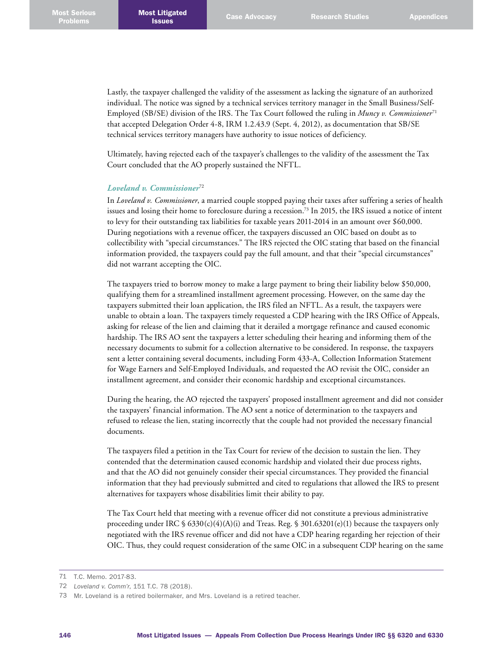Lastly, the taxpayer challenged the validity of the assessment as lacking the signature of an authorized individual. The notice was signed by a technical services territory manager in the Small Business/Self-Employed (SB/SE) division of the IRS. The Tax Court followed the ruling in *Muncy v. Commissioner*<sup>71</sup> that accepted Delegation Order 4-8, IRM 1.2.43.9 (Sept. 4, 2012), as documentation that SB/SE technical services territory managers have authority to issue notices of deficiency.

Ultimately, having rejected each of the taxpayer's challenges to the validity of the assessment the Tax Court concluded that the AO properly sustained the NFTL.

#### *Loveland v. Commissioner*<sup>72</sup>

In *Loveland v. Commissioner*, a married couple stopped paying their taxes after suffering a series of health issues and losing their home to foreclosure during a recession. 73 In 2015, the IRS issued a notice of intent to levy for their outstanding tax liabilities for taxable years 2011-2014 in an amount over \$60,000. During negotiations with a revenue officer, the taxpayers discussed an OIC based on doubt as to collectibility with "special circumstances." The IRS rejected the OIC stating that based on the financial information provided, the taxpayers could pay the full amount, and that their "special circumstances" did not warrant accepting the OIC.

The taxpayers tried to borrow money to make a large payment to bring their liability below \$50,000, qualifying them for a streamlined installment agreement processing. However, on the same day the taxpayers submitted their loan application, the IRS filed an NFTL. As a result, the taxpayers were unable to obtain a loan. The taxpayers timely requested a CDP hearing with the IRS Office of Appeals, asking for release of the lien and claiming that it derailed a mortgage refinance and caused economic hardship. The IRS AO sent the taxpayers a letter scheduling their hearing and informing them of the necessary documents to submit for a collection alternative to be considered. In response, the taxpayers sent a letter containing several documents, including Form 433-A, Collection Information Statement for Wage Earners and Self-Employed Individuals, and requested the AO revisit the OIC, consider an installment agreement, and consider their economic hardship and exceptional circumstances.

During the hearing, the AO rejected the taxpayers' proposed installment agreement and did not consider the taxpayers' financial information. The AO sent a notice of determination to the taxpayers and refused to release the lien, stating incorrectly that the couple had not provided the necessary financial documents.

The taxpayers filed a petition in the Tax Court for review of the decision to sustain the lien. They contended that the determination caused economic hardship and violated their due process rights, and that the AO did not genuinely consider their special circumstances. They provided the financial information that they had previously submitted and cited to regulations that allowed the IRS to present alternatives for taxpayers whose disabilities limit their ability to pay.

The Tax Court held that meeting with a revenue officer did not constitute a previous administrative proceeding under IRC  $\frac{6330(c)(4)(A)(i)}{2}$  and Treas. Reg.  $\frac{6301.63201(c)(1)}{20201(c)(1)}$  because the taxpayers only negotiated with the IRS revenue officer and did not have a CDP hearing regarding her rejection of their OIC. Thus, they could request consideration of the same OIC in a subsequent CDP hearing on the same

<sup>71</sup> T.C. Memo. 2017-83.

<sup>72</sup> *Loveland v. Comm'r*, 151 T.C. 78 (2018).

<sup>73</sup> Mr. Loveland is a retired boilermaker, and Mrs. Loveland is a retired teacher.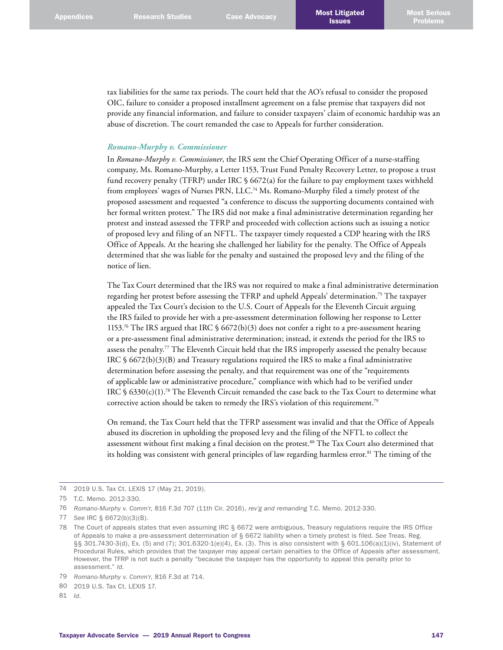tax liabilities for the same tax periods. The court held that the AO's refusal to consider the proposed OIC, failure to consider a proposed installment agreement on a false premise that taxpayers did not provide any financial information, and failure to consider taxpayers' claim of economic hardship was an abuse of discretion. The court remanded the case to Appeals for further consideration.

#### *Romano-Murphy v. Commissioner*

In *Romano-Murphy v. Commissioner*, the IRS sent the Chief Operating Officer of a nurse-staffing company, Ms. Romano-Murphy, a Letter 1153, Trust Fund Penalty Recovery Letter, to propose a trust fund recovery penalty (TFRP) under IRC § 6672(a) for the failure to pay employment taxes withheld from employees' wages of Nurses PRN, LLC.<sup>74</sup> Ms. Romano-Murphy filed a timely protest of the proposed assessment and requested "a conference to discuss the supporting documents contained with her formal written protest." The IRS did not make a final administrative determination regarding her protest and instead assessed the TFRP and proceeded with collection actions such as issuing a notice of proposed levy and filing of an NFTL. The taxpayer timely requested a CDP hearing with the IRS Office of Appeals. At the hearing she challenged her liability for the penalty. The Office of Appeals determined that she was liable for the penalty and sustained the proposed levy and the filing of the notice of lien.

The Tax Court determined that the IRS was not required to make a final administrative determination regarding her protest before assessing the TFRP and upheld Appeals' determination. 75 The taxpayer appealed the Tax Court's decision to the U.S. Court of Appeals for the Eleventh Circuit arguing the IRS failed to provide her with a pre-assessment determination following her response to Letter 1153. 76 The IRS argued that IRC § 6672(b)(3) does not confer a right to a pre-assessment hearing or a pre-assessment final administrative determination; instead, it extends the period for the IRS to assess the penalty. 77 The Eleventh Circuit held that the IRS improperly assessed the penalty because IRC  $$6672(b)(3)(B)$  and Treasury regulations required the IRS to make a final administrative determination before assessing the penalty, and that requirement was one of the "requirements of applicable law or administrative procedure," compliance with which had to be verified under IRC  $\S 6330(c)(1).^{78}$  The Eleventh Circuit remanded the case back to the Tax Court to determine what corrective action should be taken to remedy the IRS's violation of this requirement. 79

On remand, the Tax Court held that the TFRP assessment was invalid and that the Office of Appeals abused its discretion in upholding the proposed levy and the filing of the NFTL to collect the assessment without first making a final decision on the protest. 80 The Tax Court also determined that its holding was consistent with general principles of law regarding harmless error. 81 The timing of the

<sup>74</sup> 2019 U.S. Tax Ct. LEXIS 17 (May 21, 2019).

<sup>75</sup> T.C. Memo. 2012-330.

<sup>76</sup> *Romano-Murphy v. Comm'r*, 816 F.3d 707 (11th Cir. 2016), *rev'g and remanding* T.C. Memo. 2012-330.

<sup>77</sup> *See* IRC § 6672(b)(3)(B).

<sup>78</sup> The Court of appeals states that even assuming IRC § 6672 were ambiguous, Treasury regulations require the IRS Office of Appeals to make a pre-assessment determination of § 6672 liability when a timely protest is filed. *See* Treas. Reg. §§ 301.7430-3(d), Ex. (5) and (7); 301.6320-1(e)(4), Ex. (3). This is also consistent with § 601.106(a)(1)(iv), Statement of Procedural Rules, which provides that the taxpayer may appeal certain penalties to the Office of Appeals after assessment. However, the TFRP is not such a penalty "because the taxpayer has the opportunity to appeal this penalty prior to assessment." *Id*.

<sup>79</sup> *Romano-Murphy v. Comm'r*, 816 F.3d at 714.

<sup>80 2019</sup> U.S. Tax Ct. LEXIS 17.

<sup>81</sup> *Id*.